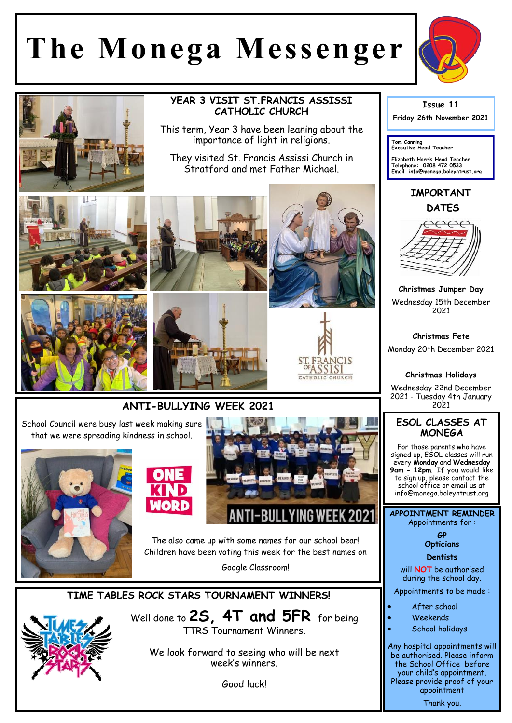## **The Monega Messenger**





school office or email us at info@monega.boleyntrust.org

**APPOINTMENT REMINDER** Appointments for :

> **GP Opticians**

**Dentists** 

will **NOT** be authorised during the school day.

Appointments to be made :

- After school
- Weekends
- School holidays

Any hospital appointments will be authorised. Please inform the School Office before your child's appointment. Please provide proof of your appointment Thank you.





NTI-BULLYING WEEK 2021 The also came up with some names for our school bear! Children have been voting this week for the best names on

Google Classroom!

**TIME TABLES ROCK STARS TOURNAMENT WINNERS!**

Well done to **2S, 4T and 5FR** for being TTRS Tournament Winners.

We look forward to seeing who will be next week's winners.

Good luck!